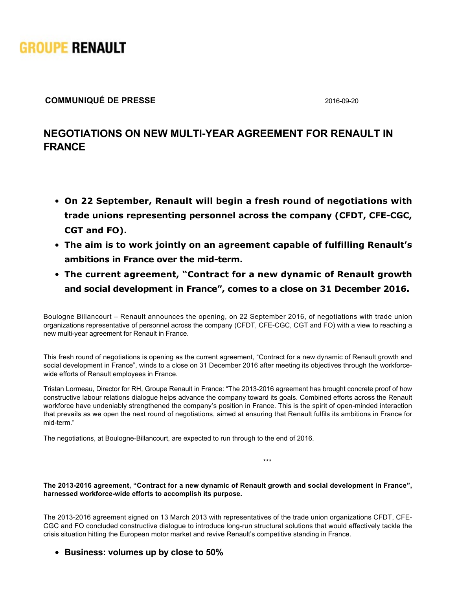

## **COMMUNIQUÉ DE PRESSE** 2016-09-20

## **NEGOTIATIONS ON NEW MULTI-YEAR AGREEMENT FOR RENAULT IN FRANCE**

- **On 22 September, Renault will begin a fresh round of negotiations with** trade unions representing personnel across the company (CFDT, CFE-CGC, **CGT and FO).**
- **The aim is to work jointly on an agreement capable of fulfilling Renault's** ambitions in France over the mid-term.
- **The current agreement, "Contract for a new dynamic of Renault growth and social development in France", comes to a close on 31 December 2016.**

Boulogne Billancourt – Renault announces the opening, on 22 September 2016, of negotiations with trade union organizations representative of personnel across the company (CFDT, CFECGC, CGT and FO) with a view to reaching a new multi-year agreement for Renault in France.

This fresh round of negotiations is opening as the current agreement, "Contract for a new dynamic of Renault growth and social development in France", winds to a close on 31 December 2016 after meeting its objectives through the workforcewide efforts of Renault employees in France.

Tristan Lormeau, Director for RH, Groupe Renault in France: "The 20132016 agreement has brought concrete proof of how constructive labour relations dialogue helps advance the company toward its goals. Combined efforts across the Renault workforce have undeniably strengthened the company's position in France. This is the spirit of open-minded interaction that prevails as we open the next round of negotiations, aimed at ensuring that Renault fulfils its ambitions in France for mid-term."

The negotiations, at Boulogne-Billancourt, are expected to run through to the end of 2016.

\*\*\*

**The 20132016 agreement, "Contract for a new dynamic of Renault growth and social development in France",** harnessed workforce-wide efforts to accomplish its purpose.

The 2013-2016 agreement signed on 13 March 2013 with representatives of the trade union organizations CFDT, CFE-CGC and FO concluded constructive dialogue to introduce long-run structural solutions that would effectively tackle the crisis situation hitting the European motor market and revive Renault's competitive standing in France.

**Business: volumes up by close to 50%**